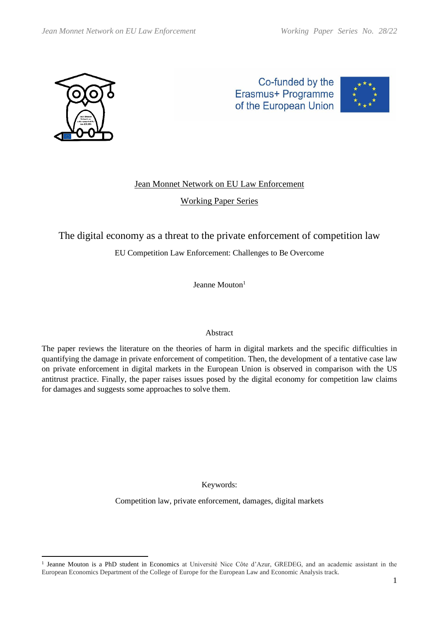

Co-funded by the Erasmus+ Programme of the European Union



# Jean Monnet Network on EU Law Enforcement

Working Paper Series

The digital economy as a threat to the private enforcement of competition law

# EU Competition Law Enforcement: Challenges to Be Overcome

Jeanne Mouton<sup>1</sup>

## Abstract

The paper reviews the literature on the theories of harm in digital markets and the specific difficulties in quantifying the damage in private enforcement of competition. Then, the development of a tentative case law on private enforcement in digital markets in the European Union is observed in comparison with the US antitrust practice. Finally, the paper raises issues posed by the digital economy for competition law claims for damages and suggests some approaches to solve them.

Keywords:

Competition law, private enforcement, damages, digital markets

<sup>1</sup> Jeanne Mouton is a PhD student in Economics at Université Nice Côte d'Azur, GREDEG, and an academic assistant in the European Economics Department of the College of Europe for the European Law and Economic Analysis track.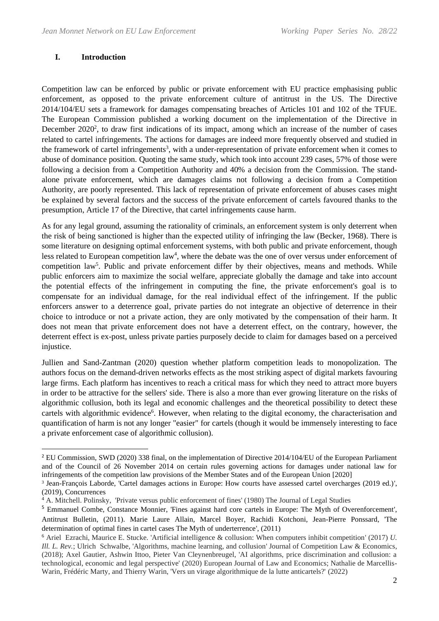#### **I. Introduction**

Competition law can be enforced by public or private enforcement with EU practice emphasising public enforcement, as opposed to the private enforcement culture of antitrust in the US. The Directive 2014/104/EU sets a framework for damages compensating breaches of Articles 101 and 102 of the TFUE. The European Commission published a working document on the implementation of the Directive in December 2020<sup>2</sup>, to draw first indications of its impact, among which an increase of the number of cases related to cartel infringements. The actions for damages are indeed more frequently observed and studied in the framework of cartel infringements<sup>3</sup>, with a under-representation of private enforcement when it comes to abuse of dominance position. Quoting the same study, which took into account 239 cases, 57% of those were following a decision from a Competition Authority and 40% a decision from the Commission. The standalone private enforcement, which are damages claims not following a decision from a Competition Authority, are poorly represented. This lack of representation of private enforcement of abuses cases might be explained by several factors and the success of the private enforcement of cartels favoured thanks to the presumption, Article 17 of the Directive, that cartel infringements cause harm.

As for any legal ground, assuming the rationality of criminals, an enforcement system is only deterrent when the risk of being sanctioned is higher than the expected utility of infringing the law (Becker, 1968). There is some literature on designing optimal enforcement systems, with both public and private enforcement, though less related to European competition law<sup>4</sup>, where the debate was the one of over versus under enforcement of competition law<sup>5</sup>. Public and private enforcement differ by their objectives, means and methods. While public enforcers aim to maximize the social welfare, appreciate globally the damage and take into account the potential effects of the infringement in computing the fine, the private enforcement's goal is to compensate for an individual damage, for the real individual effect of the infringement. If the public enforcers answer to a deterrence goal, private parties do not integrate an objective of deterrence in their choice to introduce or not a private action, they are only motivated by the compensation of their harm. It does not mean that private enforcement does not have a deterrent effect, on the contrary, however, the deterrent effect is ex-post, unless private parties purposely decide to claim for damages based on a perceived injustice.

Jullien and Sand-Zantman (2020) question whether platform competition leads to monopolization. The authors focus on the demand-driven networks effects as the most striking aspect of digital markets favouring large firms. Each platform has incentives to reach a critical mass for which they need to attract more buyers in order to be attractive for the sellers' side. There is also a more than ever growing literature on the risks of algorithmic collusion, both its legal and economic challenges and the theoretical possibility to detect these cartels with algorithmic evidence<sup>6</sup>. However, when relating to the digital economy, the characterisation and quantification of harm is not any longer "easier" for cartels (though it would be immensely interesting to face a private enforcement case of algorithmic collusion).

<sup>&</sup>lt;sup>2</sup> EU Commission, SWD (2020) 338 final, on the implementation of Directive 2014/104/EU of the European Parliament and of the Council of 26 November 2014 on certain rules governing actions for damages under national law for infringements of the competition law provisions of the Member States and of the European Union [2020]

<sup>3</sup> Jean-François Laborde, 'Cartel damages actions in Europe: How courts have assessed cartel overcharges (2019 ed.)', (2019), Concurrences

<sup>&</sup>lt;sup>4</sup> A. Mitchell. Polinsky, 'Private versus public enforcement of fines' (1980) The Journal of Legal Studies

<sup>5</sup> Emmanuel Combe, Constance Monnier, 'Fines against hard core cartels in Europe: The Myth of Overenforcement', Antitrust Bulletin, (2011). Marie Laure Allain, Marcel Boyer, Rachidi Kotchoni, Jean-Pierre Ponssard, 'The determination of optimal fines in cartel cases The Myth of underterrence', (2011)

<sup>6</sup> Ariel Ezrachi, Maurice E. Stucke. 'Artificial intelligence & collusion: When computers inhibit competition' (2017) *U. Ill. L. Rev.*; Ulrich Schwalbe, 'Algorithms, machine learning, and collusion' Journal of Competition Law & Economics, (2018); Axel Gautier, Ashwin Ittoo, Pieter Van Cleynenbreugel, 'AI algorithms, price discrimination and collusion: a technological, economic and legal perspective' (2020) European Journal of Law and Economics; Nathalie de Marcellis-Warin, Frédéric Marty, and Thierry Warin, 'Vers un virage algorithmique de la lutte anticartels?' (2022)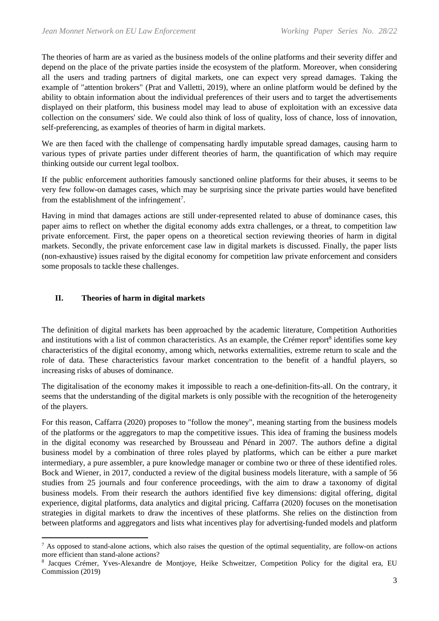The theories of harm are as varied as the business models of the online platforms and their severity differ and depend on the place of the private parties inside the ecosystem of the platform. Moreover, when considering all the users and trading partners of digital markets, one can expect very spread damages. Taking the example of "attention brokers" (Prat and Valletti, 2019), where an online platform would be defined by the ability to obtain information about the individual preferences of their users and to target the advertisements displayed on their platform, this business model may lead to abuse of exploitation with an excessive data collection on the consumers' side. We could also think of loss of quality, loss of chance, loss of innovation, self-preferencing, as examples of theories of harm in digital markets.

We are then faced with the challenge of compensating hardly imputable spread damages, causing harm to various types of private parties under different theories of harm, the quantification of which may require thinking outside our current legal toolbox.

If the public enforcement authorities famously sanctioned online platforms for their abuses, it seems to be very few follow-on damages cases, which may be surprising since the private parties would have benefited from the establishment of the infringement<sup>7</sup>.

Having in mind that damages actions are still under-represented related to abuse of dominance cases, this paper aims to reflect on whether the digital economy adds extra challenges, or a threat, to competition law private enforcement. First, the paper opens on a theoretical section reviewing theories of harm in digital markets. Secondly, the private enforcement case law in digital markets is discussed. Finally, the paper lists (non-exhaustive) issues raised by the digital economy for competition law private enforcement and considers some proposals to tackle these challenges.

## **II. Theories of harm in digital markets**

The definition of digital markets has been approached by the academic literature, Competition Authorities and institutions with a list of common characteristics. As an example, the Crémer report<sup>8</sup> identifies some key characteristics of the digital economy, among which, networks externalities, extreme return to scale and the role of data. These characteristics favour market concentration to the benefit of a handful players, so increasing risks of abuses of dominance.

The digitalisation of the economy makes it impossible to reach a one-definition-fits-all. On the contrary, it seems that the understanding of the digital markets is only possible with the recognition of the heterogeneity of the players.

For this reason, Caffarra (2020) proposes to "follow the money", meaning starting from the business models of the platforms or the aggregators to map the competitive issues. This idea of framing the business models in the digital economy was researched by Brousseau and Pénard in 2007. The authors define a digital business model by a combination of three roles played by platforms, which can be either a pure market intermediary, a pure assembler, a pure knowledge manager or combine two or three of these identified roles. Bock and Wiener, in 2017, conducted a review of the digital business models literature, with a sample of 56 studies from 25 journals and four conference proceedings, with the aim to draw a taxonomy of digital business models. From their research the authors identified five key dimensions: digital offering, digital experience, digital platforms, data analytics and digital pricing. Caffarra (2020) focuses on the monetisation strategies in digital markets to draw the incentives of these platforms. She relies on the distinction from between platforms and aggregators and lists what incentives play for advertising-funded models and platform

 $<sup>7</sup>$  As opposed to stand-alone actions, which also raises the question of the optimal sequentiality, are follow-on actions</sup> more efficient than stand-alone actions?

<sup>8</sup> Jacques Crémer, Yves-Alexandre de Montjoye, Heike Schweitzer, Competition Policy for the digital era, EU Commission (2019)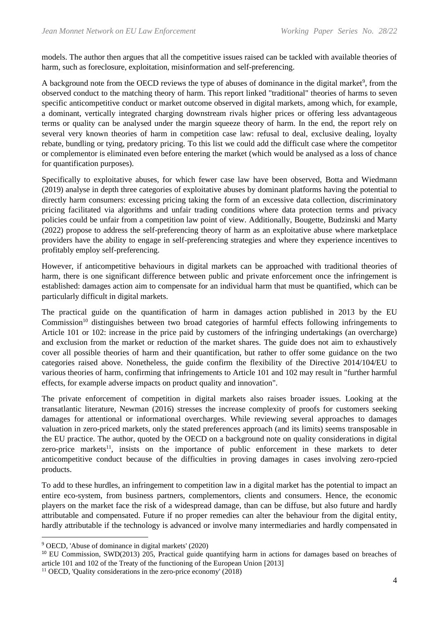models. The author then argues that all the competitive issues raised can be tackled with available theories of harm, such as foreclosure, exploitation, misinformation and self-preferencing.

A background note from the OECD reviews the type of abuses of dominance in the digital market<sup>9</sup>, from the observed conduct to the matching theory of harm. This report linked "traditional" theories of harms to seven specific anticompetitive conduct or market outcome observed in digital markets, among which, for example, a dominant, vertically integrated charging downstream rivals higher prices or offering less advantageous terms or quality can be analysed under the margin squeeze theory of harm. In the end, the report rely on several very known theories of harm in competition case law: refusal to deal, exclusive dealing, loyalty rebate, bundling or tying, predatory pricing. To this list we could add the difficult case where the competitor or complementor is eliminated even before entering the market (which would be analysed as a loss of chance for quantification purposes).

Specifically to exploitative abuses, for which fewer case law have been observed, Botta and Wiedmann (2019) analyse in depth three categories of exploitative abuses by dominant platforms having the potential to directly harm consumers: excessing pricing taking the form of an excessive data collection, discriminatory pricing facilitated via algorithms and unfair trading conditions where data protection terms and privacy policies could be unfair from a competition law point of view. Additionally, Bougette, Budzinski and Marty (2022) propose to address the self-preferencing theory of harm as an exploitative abuse where marketplace providers have the ability to engage in self-preferencing strategies and where they experience incentives to profitably employ self-preferencing.

However, if anticompetitive behaviours in digital markets can be approached with traditional theories of harm, there is one significant difference between public and private enforcement once the infringement is established: damages action aim to compensate for an individual harm that must be quantified, which can be particularly difficult in digital markets.

The practical guide on the quantification of harm in damages action published in 2013 by the EU Commission<sup>10</sup> distinguishes between two broad categories of harmful effects following infringements to Article 101 or 102: increase in the price paid by customers of the infringing undertakings (an overcharge) and exclusion from the market or reduction of the market shares. The guide does not aim to exhaustively cover all possible theories of harm and their quantification, but rather to offer some guidance on the two categories raised above. Nonetheless, the guide confirm the flexibility of the Directive 2014/104/EU to various theories of harm, confirming that infringements to Article 101 and 102 may result in "further harmful effects, for example adverse impacts on product quality and innovation".

The private enforcement of competition in digital markets also raises broader issues. Looking at the transatlantic literature, Newman (2016) stresses the increase complexity of proofs for customers seeking damages for attentional or informational overcharges. While reviewing several approaches to damages valuation in zero-priced markets, only the stated preferences approach (and its limits) seems transposable in the EU practice. The author, quoted by the OECD on a background note on quality considerations in digital zero-price markets<sup>11</sup>, insists on the importance of public enforcement in these markets to deter anticompetitive conduct because of the difficulties in proving damages in cases involving zero-rpcied products.

To add to these hurdles, an infringement to competition law in a digital market has the potential to impact an entire eco-system, from business partners, complementors, clients and consumers. Hence, the economic players on the market face the risk of a widespread damage, than can be diffuse, but also future and hardly attributable and compensated. Future if no proper remedies can alter the behaviour from the digital entity, hardly attributable if the technology is advanced or involve many intermediaries and hardly compensated in

<sup>9</sup> OECD, 'Abuse of dominance in digital markets' (2020)

<sup>&</sup>lt;sup>10</sup> EU Commission, SWD(2013) 205, Practical guide quantifying harm in actions for damages based on breaches of article 101 and 102 of the Treaty of the functioning of the European Union [2013]

<sup>&</sup>lt;sup>11</sup> OECD, 'Quality considerations in the zero-price economy' (2018)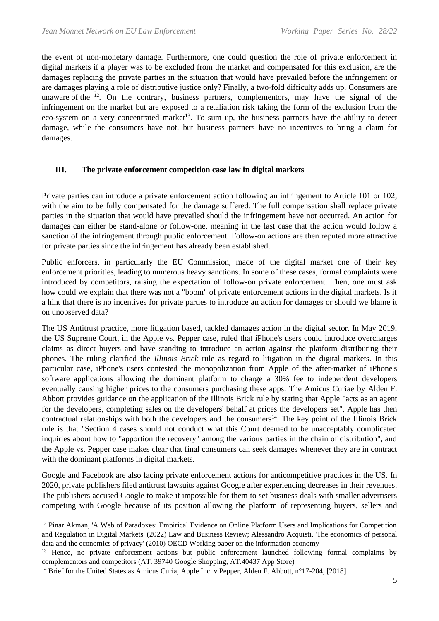the event of non-monetary damage. Furthermore, one could question the role of private enforcement in digital markets if a player was to be excluded from the market and compensated for this exclusion, are the damages replacing the private parties in the situation that would have prevailed before the infringement or are damages playing a role of distributive justice only? Finally, a two-fold difficulty adds up. Consumers are unaware of the  $12$ . On the contrary, business partners, complementors, may have the signal of the infringement on the market but are exposed to a retaliation risk taking the form of the exclusion from the eco-system on a very concentrated market<sup>13</sup>. To sum up, the business partners have the ability to detect damage, while the consumers have not, but business partners have no incentives to bring a claim for damages.

### **III. The private enforcement competition case law in digital markets**

Private parties can introduce a private enforcement action following an infringement to Article 101 or 102, with the aim to be fully compensated for the damage suffered. The full compensation shall replace private parties in the situation that would have prevailed should the infringement have not occurred. An action for damages can either be stand-alone or follow-one, meaning in the last case that the action would follow a sanction of the infringement through public enforcement. Follow-on actions are then reputed more attractive for private parties since the infringement has already been established.

Public enforcers, in particularly the EU Commission, made of the digital market one of their key enforcement priorities, leading to numerous heavy sanctions. In some of these cases, formal complaints were introduced by competitors, raising the expectation of follow-on private enforcement. Then, one must ask how could we explain that there was not a "boom" of private enforcement actions in the digital markets. Is it a hint that there is no incentives for private parties to introduce an action for damages or should we blame it on unobserved data?

The US Antitrust practice, more litigation based, tackled damages action in the digital sector. In May 2019, the US Supreme Court, in the Apple vs. Pepper case, ruled that iPhone's users could introduce overcharges claims as direct buyers and have standing to introduce an action against the platform distributing their phones. The ruling clarified the *Illinois Brick* rule as regard to litigation in the digital markets. In this particular case, iPhone's users contested the monopolization from Apple of the after-market of iPhone's software applications allowing the dominant platform to charge a 30% fee to independent developers eventually causing higher prices to the consumers purchasing these apps. The Amicus Curiae by Alden F. Abbott provides guidance on the application of the Illinois Brick rule by stating that Apple "acts as an agent for the developers, completing sales on the developers' behalf at prices the developers set", Apple has then contractual relationships with both the developers and the consumers $14$ . The key point of the Illinois Brick rule is that "Section 4 cases should not conduct what this Court deemed to be unacceptably complicated inquiries about how to "apportion the recovery" among the various parties in the chain of distribution", and the Apple vs. Pepper case makes clear that final consumers can seek damages whenever they are in contract with the dominant platforms in digital markets.

Google and Facebook are also facing private enforcement actions for anticompetitive practices in the US. In 2020, private publishers filed antitrust lawsuits against Google after experiencing decreases in their revenues. The publishers accused Google to make it impossible for them to set business deals with smaller advertisers competing with Google because of its position allowing the platform of representing buyers, sellers and

<sup>&</sup>lt;sup>12</sup> Pinar Akman, 'A Web of Paradoxes: Empirical Evidence on Online Platform Users and Implications for Competition and Regulation in Digital Markets' (2022) Law and Business Review; Alessandro Acquisti, 'The economics of personal data and the economics of privacy' (2010) OECD Working paper on the information economy

<sup>&</sup>lt;sup>13</sup> Hence, no private enforcement actions but public enforcement launched following formal complaints by complementors and competitors (AT. 39740 Google Shopping, AT.40437 App Store)

<sup>&</sup>lt;sup>14</sup> Brief for the United States as Amicus Curia, Apple Inc. v Pepper, Alden F. Abbott, n°17-204, [2018]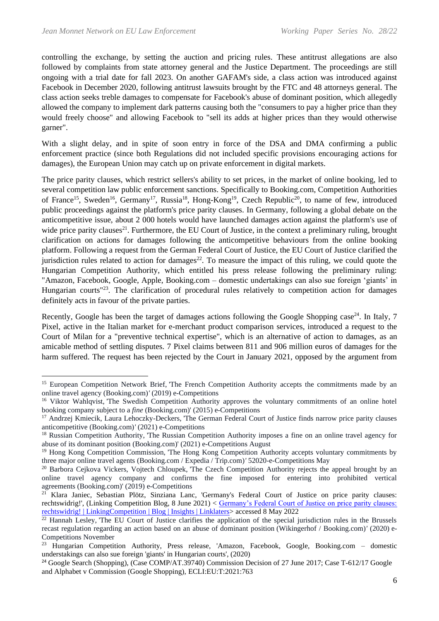controlling the exchange, by setting the auction and pricing rules. These antitrust allegations are also followed by complaints from state attorney general and the Justice Department. The proceedings are still ongoing with a trial date for fall 2023. On another GAFAM's side, a class action was introduced against Facebook in December 2020, following antitrust lawsuits brought by the FTC and 48 attorneys general. The class action seeks treble damages to compensate for Facebook's abuse of dominant position, which allegedly allowed the company to implement dark patterns causing both the "consumers to pay a higher price than they would freely choose" and allowing Facebook to "sell its adds at higher prices than they would otherwise garner".

With a slight delay, and in spite of soon entry in force of the DSA and DMA confirming a public enforcement practice (since both Regulations did not included specific provisions encouraging actions for damages), the European Union may catch up on private enforcement in digital markets.

The price parity clauses, which restrict sellers's ability to set prices, in the market of online booking, led to several competition law public enforcement sanctions. Specifically to Booking.com, Competition Authorities of France<sup>15</sup>, Sweden<sup>16</sup>, Germany<sup>17</sup>, Russia<sup>18</sup>, Hong-Kong<sup>19</sup>, Czech Republic<sup>20</sup>, to name of few, introduced public proceedings against the platform's price parity clauses. In Germany, following a global debate on the anticompetitive issue, about 2 000 hotels would have launched damages action against the platform's use of wide price parity clauses<sup>21</sup>. Furthermore, the EU Court of Justice, in the context a preliminary ruling, brought clarification on actions for damages following the anticompetitive behaviours from the online booking platform. Following a request from the German Federal Court of Justice, the EU Court of Justice clarified the jurisdiction rules related to action for damages<sup>22</sup>. To measure the impact of this ruling, we could quote the Hungarian Competition Authority, which entitled his press release following the preliminary ruling: "Amazon, Facebook, Google, Apple, Booking.com – domestic undertakings can also sue foreign 'giants' in Hungarian courts<sup>"23</sup>. The clarification of procedural rules relatively to competition action for damages definitely acts in favour of the private parties.

Recently, Google has been the target of damages actions following the Google Shopping case<sup>24</sup>. In Italy, 7 Pixel, active in the Italian market for e-merchant product comparison services, introduced a request to the Court of Milan for a "preventive technical expertise", which is an alternative of action to damages, as an amicable method of settling disputes. 7 Pixel claims between 811 and 906 million euros of damages for the harm suffered. The request has been rejected by the Court in January 2021, opposed by the argument from

<sup>&</sup>lt;sup>15</sup> European Competition Network Brief, 'The French Competition Authority accepts the commitments made by an online travel agency (Booking.com)*'* (2019) e-Competitions

<sup>&</sup>lt;sup>16</sup> Viktor Wahlqvist, 'The Swedish Competition Authority approves the voluntary commitments of an online hotel booking company subject to a *fine* (Booking.com)' (2015) e-Competitions

<sup>&</sup>lt;sup>17</sup> Andrzej Kmiecik, Laura Lehoczky-Deckers, 'The German Federal Court of Justice finds narrow price parity clauses anticompetitive (Booking.com)*'* (2021) e-Competitions

<sup>&</sup>lt;sup>18</sup> Russian Competition Authority, 'The Russian Competition Authority imposes a fine on an online travel agency for abuse of its dominant position (Booking.com)' (2021) e-Competitions August

<sup>&</sup>lt;sup>19</sup> Hong Kong Competition Commission, 'The Hong Kong Competition Authority accepts voluntary commitments by three major online travel agents (Booking.com / Expedia / Trip.com)*'* 52020-e-Competitions May

<sup>&</sup>lt;sup>20</sup> Barbora Cejkova Vickers, Vojtech Chloupek, 'The Czech Competition Authority rejects the appeal brought by an online travel agency company and confirms the fine imposed for entering into prohibited vertical agreements (Booking.com)' (2019) e-Competitions

<sup>&</sup>lt;sup>21</sup> Klara Janiec, Sebastian Plötz, Sinziana Lanc, 'Germany's Federal Court of Justice on price parity clauses: rechtswidrig!', (Linking Competition Blog, 8 June 2021) < [Germany's Federal Court of Justice on price parity clauses:](https://www.linklaters.com/fr-be/insights/blogs/linkingcompetition/2021/june/germanys-federal-court-of-justice-on-price-parity-clauses-rechtswidrig)  [rechtswidrig! | LinkingCompetition](https://www.linklaters.com/fr-be/insights/blogs/linkingcompetition/2021/june/germanys-federal-court-of-justice-on-price-parity-clauses-rechtswidrig) | Blog | Insights | Linklaters> accessed 8 May 2022

<sup>&</sup>lt;sup>22</sup> Hannah Lesley, 'The EU Court of Justice clarifies the application of the special jurisdiction rules in the Brussels recast regulation regarding an action based on an abuse of dominant position (Wikingerhof / Booking.com)*'* (2020) e-Competitions November

<sup>&</sup>lt;sup>23</sup> Hungarian Competition Authority, Press release, 'Amazon, Facebook, Google, Booking.com – domestic understakings can also sue foreign 'giants' in Hungarian courts', (2020)

<sup>&</sup>lt;sup>24</sup> Google Search (Shopping), (Case COMP/AT.39740) Commission Decision of 27 June 2017; Case T-612/17 Google and Alphabet v Commission (Google Shopping), ECLI:EU:T:2021:763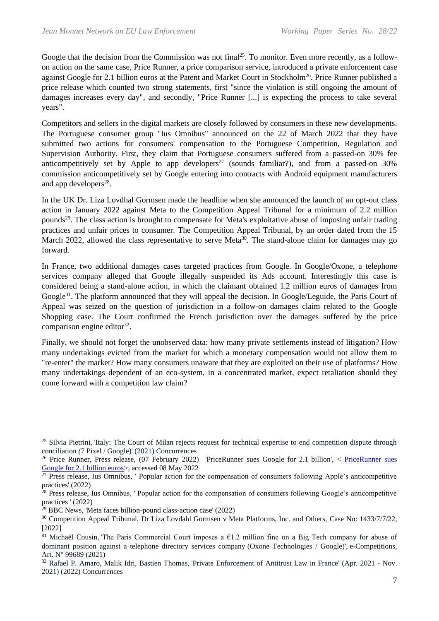Google that the decision from the Commission was not final<sup>25</sup>. To monitor. Even more recently, as a followon action on the same case, Price Runner, a price comparison service, introduced a private enforcement case against Google for 2.1 billion euros at the Patent and Market Court in Stockholm<sup>26</sup>. Price Runner published a price release which counted two strong statements, first "since the violation is still ongoing the amount of damages increases every day", and secondly, "Price Runner [...] is expecting the process to take several years".

Competitors and sellers in the digital markets are closely followed by consumers in these new developments. The Portuguese consumer group "Ius Omnibus" announced on the 22 of March 2022 that they have submitted two actions for consumers' compensation to the Portuguese Competition, Regulation and Supervision Authority. First, they claim that Portuguese consumers suffered from a passed-on 30% fee anticompetitively set by Apple to app developers<sup>27</sup> (sounds familiar?), and from a passed-on 30% commission anticompetitively set by Google entering into contracts with Android equipment manufacturers and app developers $^{28}$ .

In the UK Dr. Liza Lovdhal Gormsen made the headline when she announced the launch of an opt-out class action in January 2022 against Meta to the Competition Appeal Tribunal for a minimum of 2.2 million pounds<sup>29</sup>. The class action is brought to compensate for Meta's exploitative abuse of imposing unfair trading practices and unfair prices to consumer. The Competition Appeal Tribunal, by an order dated from the 15 March 2022, allowed the class representative to serve Meta<sup>30</sup>. The stand-alone claim for damages may go forward.

In France, two additional damages cases targeted practices from Google. In Google/Oxone, a telephone services company alleged that Google illegally suspended its Ads account. Interestingly this case is considered being a stand-alone action, in which the claimant obtained 1.2 million euros of damages from Google<sup>31</sup>. The platform announced that they will appeal the decision. In Google/Leguide, the Paris Court of Appeal was seized on the question of jurisdiction in a follow-on damages claim related to the Google Shopping case. The Court confirmed the French jurisdiction over the damages suffered by the price comparison engine editor $32$ .

Finally, we should not forget the unobserved data: how many private settlements instead of litigation? How many undertakings evicted from the market for which a monetary compensation would not allow them to "re-enter" the market? How many consumers unaware that they are exploited on their use of platforms? How many undertakings dependent of an eco-system, in a concentrated market, expect retaliation should they come forward with a competition law claim?

<sup>&</sup>lt;sup>25</sup> Silvia Pietrini, 'Italy: The Court of Milan rejects request for technical expertise to end competition dispute through conciliation *(*7 Pixel / Google)' (2021) Concurrences

<sup>&</sup>lt;sup>26</sup> Price Runner, Press release, (07 February 2022) 'PriceRunner sues Google for 2.1 billion', < PriceRunner sues [Google for 2.1 billion euros>](https://newsroom.pricerunner.com/posts/pressreleases/pricerunner-sues-google-for-21-billion-euros), accessed 08 May 2022

<sup>&</sup>lt;sup>27</sup> Press release, Ius Omnibus, ' Popular action for the compensation of consumers following Apple's anticompetitive practices' (2022)

 $28$  Press release, Ius Omnibus, ' Popular action for the compensation of consumers following Google's anticompetitive practices ' (2022)

 $29$  BBC News, 'Meta faces billion-pound class-action case' (2022)

<sup>30</sup> Competition Appeal Tribunal, Dr Liza Lovdahl Gormsen v Meta Platforms, Inc. and Others, Case No: 1433/7/7/22, [2022]

<sup>&</sup>lt;sup>31</sup> Michaël Cousin, 'The Paris Commercial Court imposes a  $61.2$  million fine on a Big Tech company for abuse of dominant position against a telephone directory services company (Oxone Technologies / Google)'*,* e-Competitions, Art. N° 99689 (2021)

<sup>&</sup>lt;sup>32</sup> Rafael P. Amaro, Malik Idri, Bastien Thomas, 'Private Enforcement of Antitrust Law in France' (Apr. 2021 - Nov. 2021) (2022) Concurrences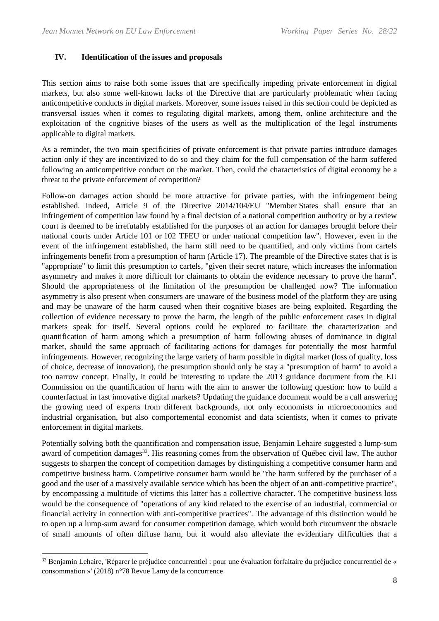#### **IV. Identification of the issues and proposals**

This section aims to raise both some issues that are specifically impeding private enforcement in digital markets, but also some well-known lacks of the Directive that are particularly problematic when facing anticompetitive conducts in digital markets. Moreover, some issues raised in this section could be depicted as transversal issues when it comes to regulating digital markets, among them, online architecture and the exploitation of the cognitive biases of the users as well as the multiplication of the legal instruments applicable to digital markets.

As a reminder, the two main specificities of private enforcement is that private parties introduce damages action only if they are incentivized to do so and they claim for the full compensation of the harm suffered following an anticompetitive conduct on the market. Then, could the characteristics of digital economy be a threat to the private enforcement of competition?

Follow-on damages action should be more attractive for private parties, with the infringement being established. Indeed, Article 9 of the Directive 2014/104/EU "Member States shall ensure that an infringement of competition law found by a final decision of a national competition authority or by a review court is deemed to be irrefutably established for the purposes of an action for damages brought before their national courts under Article 101 or 102 TFEU or under national competition law". However, even in the event of the infringement established, the harm still need to be quantified, and only victims from cartels infringements benefit from a presumption of harm (Article 17). The preamble of the Directive states that is is "appropriate" to limit this presumption to cartels, "given their secret nature, which increases the information asymmetry and makes it more difficult for claimants to obtain the evidence necessary to prove the harm". Should the appropriateness of the limitation of the presumption be challenged now? The information asymmetry is also present when consumers are unaware of the business model of the platform they are using and may be unaware of the harm caused when their cognitive biases are being exploited. Regarding the collection of evidence necessary to prove the harm, the length of the public enforcement cases in digital markets speak for itself. Several options could be explored to facilitate the characterization and quantification of harm among which a presumption of harm following abuses of dominance in digital market, should the same approach of facilitating actions for damages for potentially the most harmful infringements. However, recognizing the large variety of harm possible in digital market (loss of quality, loss of choice, decrease of innovation), the presumption should only be stay a "presumption of harm" to avoid a too narrow concept. Finally, it could be interesting to update the 2013 guidance document from the EU Commission on the quantification of harm with the aim to answer the following question: how to build a counterfactual in fast innovative digital markets? Updating the guidance document would be a call answering the growing need of experts from different backgrounds, not only economists in microeconomics and industrial organisation, but also comportemental economist and data scientists, when it comes to private enforcement in digital markets.

Potentially solving both the quantification and compensation issue, Benjamin Lehaire suggested a lump-sum award of competition damages<sup>33</sup>. His reasoning comes from the observation of Québec civil law. The author suggests to sharpen the concept of competition damages by distinguishing a competitive consumer harm and competitive business harm. Competitive consumer harm would be "the harm suffered by the purchaser of a good and the user of a massively available service which has been the object of an anti-competitive practice", by encompassing a multitude of victims this latter has a collective character. The competitive business loss would be the consequence of "operations of any kind related to the exercise of an industrial, commercial or financial activity in connection with anti-competitive practices". The advantage of this distinction would be to open up a lump-sum award for consumer competition damage, which would both circumvent the obstacle of small amounts of often diffuse harm, but it would also alleviate the evidentiary difficulties that a

 $33$  Benjamin Lehaire, 'Réparer le préjudice concurrentiel : pour une évaluation forfaitaire du préjudice concurrentiel de « consommation »' (2018) n°78 Revue Lamy de la concurrence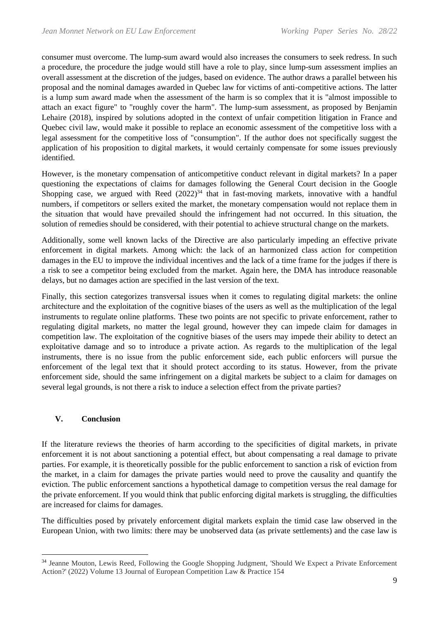consumer must overcome. The lump-sum award would also increases the consumers to seek redress. In such a procedure, the procedure the judge would still have a role to play, since lump-sum assessment implies an overall assessment at the discretion of the judges, based on evidence. The author draws a parallel between his proposal and the nominal damages awarded in Quebec law for victims of anti-competitive actions. The latter is a lump sum award made when the assessment of the harm is so complex that it is "almost impossible to attach an exact figure" to "roughly cover the harm". The lump-sum assessment, as proposed by Benjamin Lehaire (2018), inspired by solutions adopted in the context of unfair competition litigation in France and Quebec civil law, would make it possible to replace an economic assessment of the competitive loss with a legal assessment for the competitive loss of "consumption". If the author does not specifically suggest the application of his proposition to digital markets, it would certainly compensate for some issues previously identified.

However, is the monetary compensation of anticompetitive conduct relevant in digital markets? In a paper questioning the expectations of claims for damages following the General Court decision in the Google Shopping case, we argued with Reed  $(2022)^{34}$  that in fast-moving markets, innovative with a handful numbers, if competitors or sellers exited the market, the monetary compensation would not replace them in the situation that would have prevailed should the infringement had not occurred. In this situation, the solution of remedies should be considered, with their potential to achieve structural change on the markets.

Additionally, some well known lacks of the Directive are also particularly impeding an effective private enforcement in digital markets. Among which: the lack of an harmonized class action for competition damages in the EU to improve the individual incentives and the lack of a time frame for the judges if there is a risk to see a competitor being excluded from the market. Again here, the DMA has introduce reasonable delays, but no damages action are specified in the last version of the text.

Finally, this section categorizes transversal issues when it comes to regulating digital markets: the online architecture and the exploitation of the cognitive biases of the users as well as the multiplication of the legal instruments to regulate online platforms. These two points are not specific to private enforcement, rather to regulating digital markets, no matter the legal ground, however they can impede claim for damages in competition law. The exploitation of the cognitive biases of the users may impede their ability to detect an exploitative damage and so to introduce a private action. As regards to the multiplication of the legal instruments, there is no issue from the public enforcement side, each public enforcers will pursue the enforcement of the legal text that it should protect according to its status. However, from the private enforcement side, should the same infringement on a digital markets be subject to a claim for damages on several legal grounds, is not there a risk to induce a selection effect from the private parties?

## **V. Conclusion**

If the literature reviews the theories of harm according to the specificities of digital markets, in private enforcement it is not about sanctioning a potential effect, but about compensating a real damage to private parties. For example, it is theoretically possible for the public enforcement to sanction a risk of eviction from the market, in a claim for damages the private parties would need to prove the causality and quantify the eviction. The public enforcement sanctions a hypothetical damage to competition versus the real damage for the private enforcement. If you would think that public enforcing digital markets is struggling, the difficulties are increased for claims for damages.

The difficulties posed by privately enforcement digital markets explain the timid case law observed in the European Union, with two limits: there may be unobserved data (as private settlements) and the case law is

<sup>&</sup>lt;sup>34</sup> Jeanne Mouton, Lewis Reed, Following the Google Shopping Judgment, 'Should We Expect a Private Enforcement Action?' (2022) Volume 13 Journal of European Competition Law & Practice 154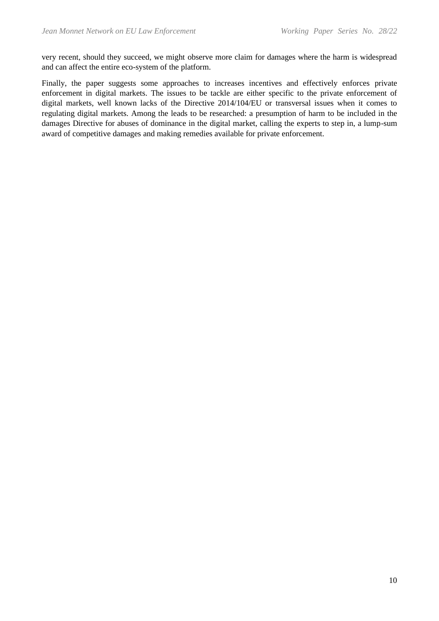very recent, should they succeed, we might observe more claim for damages where the harm is widespread and can affect the entire eco-system of the platform.

Finally, the paper suggests some approaches to increases incentives and effectively enforces private enforcement in digital markets. The issues to be tackle are either specific to the private enforcement of digital markets, well known lacks of the Directive 2014/104/EU or transversal issues when it comes to regulating digital markets. Among the leads to be researched: a presumption of harm to be included in the damages Directive for abuses of dominance in the digital market, calling the experts to step in, a lump-sum award of competitive damages and making remedies available for private enforcement.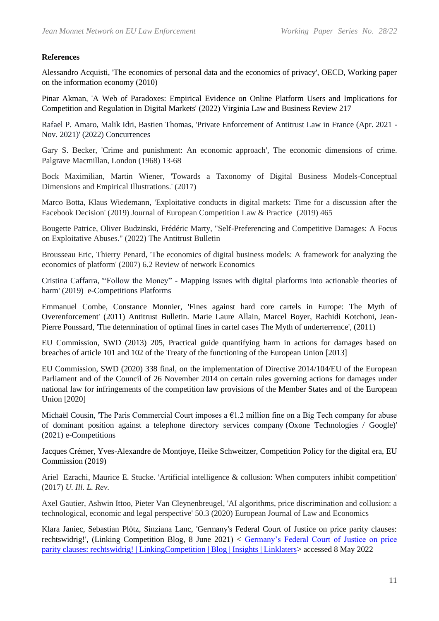### **References**

Alessandro Acquisti, 'The economics of personal data and the economics of privacy', OECD, Working paper on the information economy (2010)

Pinar Akman, 'A Web of Paradoxes: Empirical Evidence on Online Platform Users and Implications for Competition and Regulation in Digital Markets' (2022) Virginia Law and Business Review 217

Rafael P. Amaro, Malik Idri, Bastien Thomas, 'Private Enforcement of Antitrust Law in France (Apr. 2021 - Nov. 2021)' (2022) Concurrences

Gary S. Becker, 'Crime and punishment: An economic approach', The economic dimensions of crime. Palgrave Macmillan, London (1968) 13-68

Bock Maximilian, Martin Wiener, 'Towards a Taxonomy of Digital Business Models-Conceptual Dimensions and Empirical Illustrations.' (2017)

Marco Botta, Klaus Wiedemann, 'Exploitative conducts in digital markets: Time for a discussion after the Facebook Decision' (2019) Journal of European Competition Law & Practice (2019) 465

Bougette Patrice, Oliver Budzinski, Frédéric Marty, "Self-Preferencing and Competitive Damages: A Focus on Exploitative Abuses." (2022) The Antitrust Bulletin

Brousseau Eric, Thierry Penard, 'The economics of digital business models: A framework for analyzing the economics of platform' (2007) 6.2 Review of network Economics

Cristina Caffarra, '"Follow the Money" - Mapping issues with digital platforms into actionable theories of harm' (2019) e-Competitions Platforms

Emmanuel Combe, Constance Monnier, 'Fines against hard core cartels in Europe: The Myth of Overenforcement' (2011) Antitrust Bulletin. Marie Laure Allain, Marcel Boyer, Rachidi Kotchoni, Jean-Pierre Ponssard, 'The determination of optimal fines in cartel cases The Myth of underterrence', (2011)

EU Commission, SWD (2013) 205, Practical guide quantifying harm in actions for damages based on breaches of article 101 and 102 of the Treaty of the functioning of the European Union [2013]

EU Commission, SWD (2020) 338 final, on the implementation of Directive 2014/104/EU of the European Parliament and of the Council of 26 November 2014 on certain rules governing actions for damages under national law for infringements of the competition law provisions of the Member States and of the European Union [2020]

Michaël Cousin, 'The Paris Commercial Court imposes a €1.2 million fine on a Big Tech company for abuse of dominant position against a telephone directory services company (Oxone Technologies / Google)' (2021) e-Competitions

Jacques Crémer, Yves-Alexandre de Montjoye, Heike Schweitzer, Competition Policy for the digital era, EU Commission (2019)

Ariel Ezrachi, Maurice E. Stucke. 'Artificial intelligence & collusion: When computers inhibit competition' (2017) *U. Ill. L. Rev.*

Axel Gautier, Ashwin Ittoo, Pieter Van Cleynenbreugel, 'AI algorithms, price discrimination and collusion: a technological, economic and legal perspective' 50.3 (2020) European Journal of Law and Economics

Klara Janiec, Sebastian Plötz, Sinziana Lanc, 'Germany's Federal Court of Justice on price parity clauses: rechtswidrig!', (Linking Competition Blog, 8 June 2021) < [Germany's Federal Court of Justice on price](https://www.linklaters.com/fr-be/insights/blogs/linkingcompetition/2021/june/germanys-federal-court-of-justice-on-price-parity-clauses-rechtswidrig)  [parity clauses: rechtswidrig! | LinkingCompetition | Blog | Insights | Linklaters>](https://www.linklaters.com/fr-be/insights/blogs/linkingcompetition/2021/june/germanys-federal-court-of-justice-on-price-parity-clauses-rechtswidrig) accessed 8 May 2022